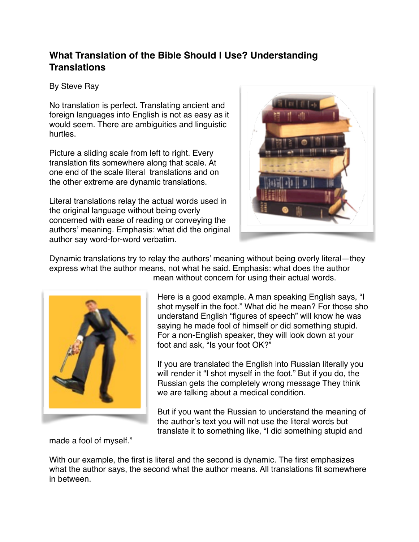## **What Translation of the Bible Should I Use? Understanding Translations**

## By Steve Ray

No translation is perfect. Translating ancient and foreign languages into English is not as easy as it would seem. There are ambiguities and linguistic hurtles.

Picture a sliding scale from left to right. Every translation fits somewhere along that scale. At one end of the scale literal translations and on the other extreme are dynamic translations.

Literal translations relay the actual words used in the original language without being overly concerned with ease of reading or conveying the authors' meaning. Emphasis: what did the original author say word-for-word verbatim.



Dynamic translations try to relay the authors' meaning without being overly literal—they express what the author means, not what he said. Emphasis: what does the author



mean without concern for using their actual words.

Here is a good example. A man speaking English says, "I shot myself in the foot." What did he mean? For those sho understand English "figures of speech" will know he was saying he made fool of himself or did something stupid. For a non-English speaker, they will look down at your foot and ask, "Is your foot OK?"

If you are translated the English into Russian literally you will render it "I shot myself in the foot." But if you do, the Russian gets the completely wrong message They think we are talking about a medical condition.

But if you want the Russian to understand the meaning of the author's text you will not use the literal words but translate it to something like, "I did something stupid and

made a fool of myself."

With our example, the first is literal and the second is dynamic. The first emphasizes what the author says, the second what the author means. All translations fit somewhere in between.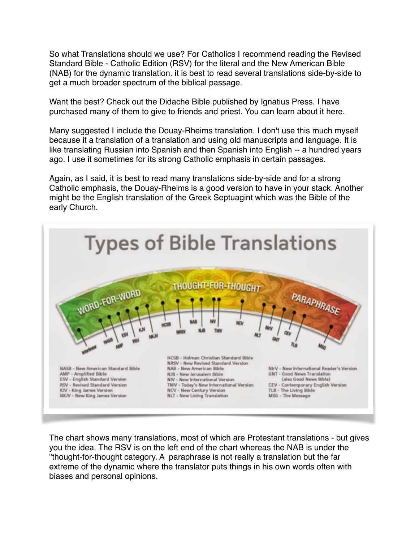So what Translations should we use? For Catholics I recommend reading the Revised Standard Bible - Catholic Edition (RSV) for the literal and the New American Bible (NAB) for the dynamic translation. it is best to read several translations side-by-side to get a much broader spectrum of the biblical passage.

Want the best? Check out the Didache Bible published by Ignatius Press. I have purchased many of them to give to friends and priest. You can learn about it here.

Many suggested I include the Douay-Rheims translation. I don't use this much myself because it a translation of a translation and using old manuscripts and language. It is like translating Russian into Spanish and then Spanish into English -- a hundred years ago. I use it sometimes for its strong Catholic emphasis in certain passages.

Again, as I said, it is best to read many translations side-by-side and for a strong Catholic emphasis, the Douay-Rheims is a good version to have in your stack. Another might be the English translation of the Greek Septuagint which was the Bible of the early Church.



The chart shows many translations, most of which are Protestant translations - but gives you the idea. The RSV is on the left end of the chart whereas the NAB is under the "thought-for-thought category. A paraphrase is not really a translation but the far extreme of the dynamic where the translator puts things in his own words often with biases and personal opinions.